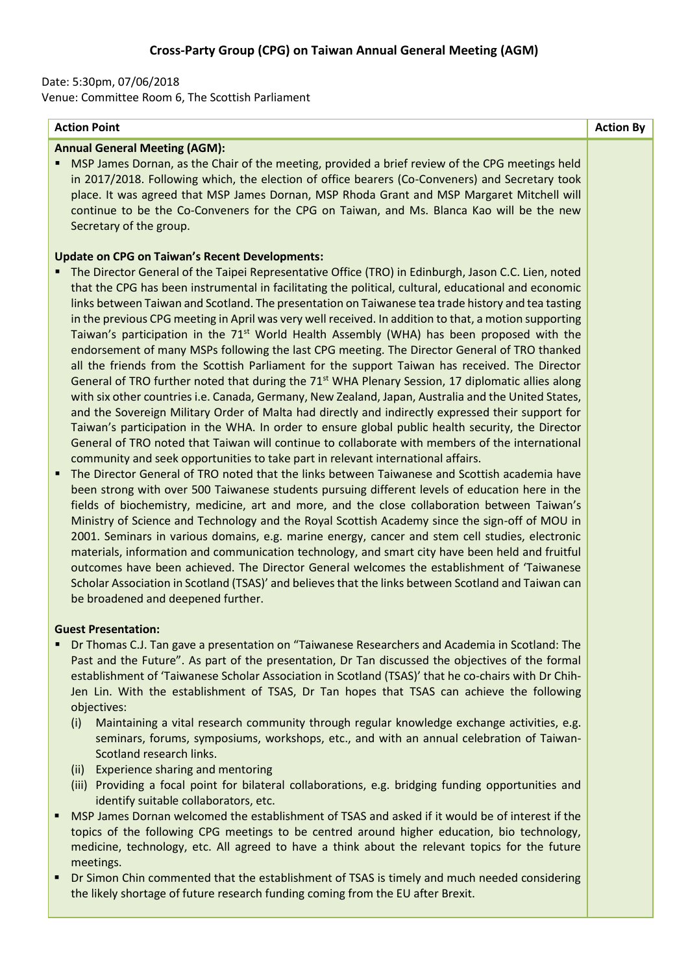# Date: 5:30pm, 07/06/2018

Venue: Committee Room 6, The Scottish Parliament

## **Action Point Action By**

### **Annual General Meeting (AGM):**

MSP James Dornan, as the Chair of the meeting, provided a brief review of the CPG meetings held in 2017/2018. Following which, the election of office bearers (Co-Conveners) and Secretary took place. It was agreed that MSP James Dornan, MSP Rhoda Grant and MSP Margaret Mitchell will continue to be the Co-Conveners for the CPG on Taiwan, and Ms. Blanca Kao will be the new Secretary of the group.

## **Update on CPG on Taiwan's Recent Developments:**

- The Director General of the Taipei Representative Office (TRO) in Edinburgh, Jason C.C. Lien, noted that the CPG has been instrumental in facilitating the political, cultural, educational and economic links between Taiwan and Scotland. The presentation on Taiwanese tea trade history and tea tasting in the previous CPG meeting in April was very well received. In addition to that, a motion supporting Taiwan's participation in the  $71<sup>st</sup>$  World Health Assembly (WHA) has been proposed with the endorsement of many MSPs following the last CPG meeting. The Director General of TRO thanked all the friends from the Scottish Parliament for the support Taiwan has received. The Director General of TRO further noted that during the 71<sup>st</sup> WHA Plenary Session, 17 diplomatic allies along with six other countries i.e. Canada, Germany, New Zealand, Japan, Australia and the United States, and the Sovereign Military Order of Malta had directly and indirectly expressed their support for Taiwan's participation in the WHA. In order to ensure global public health security, the Director General of TRO noted that Taiwan will continue to collaborate with members of the international community and seek opportunities to take part in relevant international affairs.
- The Director General of TRO noted that the links between Taiwanese and Scottish academia have been strong with over 500 Taiwanese students pursuing different levels of education here in the fields of biochemistry, medicine, art and more, and the close collaboration between Taiwan's Ministry of Science and Technology and the Royal Scottish Academy since the sign-off of MOU in 2001. Seminars in various domains, e.g. marine energy, cancer and stem cell studies, electronic materials, information and communication technology, and smart city have been held and fruitful outcomes have been achieved. The Director General welcomes the establishment of 'Taiwanese Scholar Association in Scotland (TSAS)' and believes that the links between Scotland and Taiwan can be broadened and deepened further.

#### **Guest Presentation:**

- Dr Thomas C.J. Tan gave a presentation on "Taiwanese Researchers and Academia in Scotland: The Past and the Future". As part of the presentation, Dr Tan discussed the objectives of the formal establishment of 'Taiwanese Scholar Association in Scotland (TSAS)' that he co-chairs with Dr Chih-Jen Lin. With the establishment of TSAS, Dr Tan hopes that TSAS can achieve the following objectives:
	- (i) Maintaining a vital research community through regular knowledge exchange activities, e.g. seminars, forums, symposiums, workshops, etc., and with an annual celebration of Taiwan-Scotland research links.
	- (ii) Experience sharing and mentoring
	- (iii) Providing a focal point for bilateral collaborations, e.g. bridging funding opportunities and identify suitable collaborators, etc.
- MSP James Dornan welcomed the establishment of TSAS and asked if it would be of interest if the topics of the following CPG meetings to be centred around higher education, bio technology, medicine, technology, etc. All agreed to have a think about the relevant topics for the future meetings.
- Dr Simon Chin commented that the establishment of TSAS is timely and much needed considering the likely shortage of future research funding coming from the EU after Brexit.